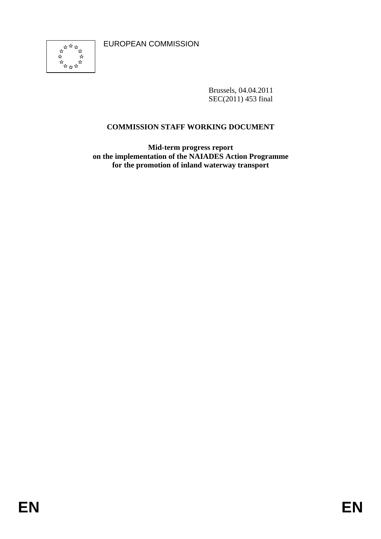

Brussels, 04.04.2011 SEC(2011) 453 final

# **COMMISSION STAFF WORKING DOCUMENT**

**Mid-term progress report on the implementation of the NAIADES Action Programme for the promotion of inland waterway transport**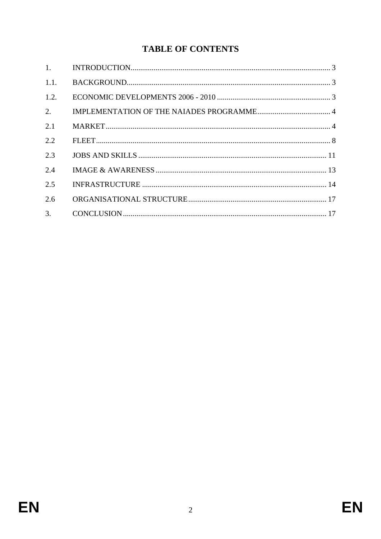# **TABLE OF CONTENTS**

| 1.   |  |
|------|--|
| 1.1. |  |
| 1.2. |  |
| 2.   |  |
| 2.1  |  |
| 2.2  |  |
| 2.3  |  |
| 2.4  |  |
| 2.5  |  |
| 2.6  |  |
| 3.   |  |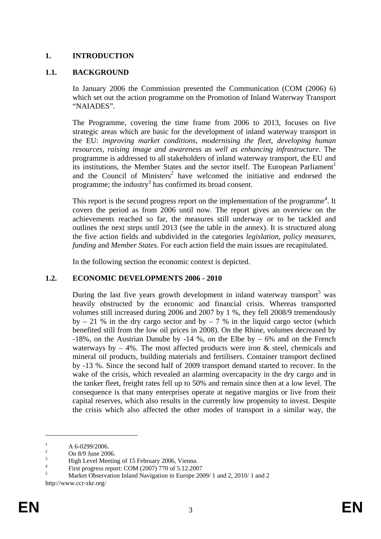#### <span id="page-3-0"></span>**1. INTRODUCTION**

#### <span id="page-3-1"></span>**1.1. BACKGROUND**

In January 2006 the Commission presented the Communication (COM (2006) 6) which set out the action programme on the Promotion of Inland Waterway Transport "NAIADES".

The Programme, covering the time frame from 2006 to 2013, focuses on five strategic areas which are basic for the development of inland waterway transport in the EU: *improving market conditions, modernising the fleet, developing human resources, raising image and awareness as well as enhancing infrastructure*. The programme is addressed to all stakeholders of inland waterway transport, the EU and its institutions, the Member States and the sector itself. The European Parliament<sup>1</sup> and the Council of Ministers<sup>2</sup> have welcomed the initiative and endorsed the programme; the industry<sup>3</sup> has confirmed its broad consent.

This report is the second progress report on the implementation of the programme<sup>4</sup>. It covers the period as from 2006 until now. The report gives an overview on the achievements reached so far, the measures still underway or to be tackled and outlines the next steps until 2013 (see the table in the annex). It is structured along the five action fields and subdivided in the categories *legislation*, *policy measures*, *funding* and *Member States.* For each action field the main issues are recapitulated.

In the following section the economic context is depicted.

#### <span id="page-3-2"></span>**1.2. ECONOMIC DEVELOPMENTS 2006 - 2010**

During the last five years growth development in inland waterway transport<sup>5</sup> was heavily obstructed by the economic and financial crisis. Whereas transported volumes still increased during 2006 and 2007 by 1 %, they fell 2008/9 tremendously by  $-21\%$  in the dry cargo sector and by  $-7\%$  in the liquid cargo sector (which benefited still from the low oil prices in 2008). On the Rhine, volumes decreased by -18%, on the Austrian Danube by -14 %, on the Elbe by  $-6\%$  and on the French waterways by  $-4\%$ . The most affected products were iron  $\&$  steel, chemicals and mineral oil products, building materials and fertilisers. Container transport declined by -13 %. Since the second half of 2009 transport demand started to recover. In the wake of the crisis, which revealed an alarming overcapacity in the dry cargo and in the tanker fleet, freight rates fell up to 50% and remain since then at a low level. The consequence is that many enterprises operate at negative margins or live from their capital reserves, which also results in the currently low propensity to invest. Despite the crisis which also affected the other modes of transport in a similar way, the

<u>.</u>

<sup>1</sup> A 6-0299/2006.

<sup>2</sup> On 8/9 June 2006.

<sup>3</sup> High Level Meeting of 15 February 2006, Vienna.

<sup>4</sup> First progress report: COM (2007) 770 of 5.12.2007

<sup>5</sup> Market Observation Inland Navigation in Europe 2009/ 1 and 2, 2010/ 1 and 2 http://www.ccr-zkr.org/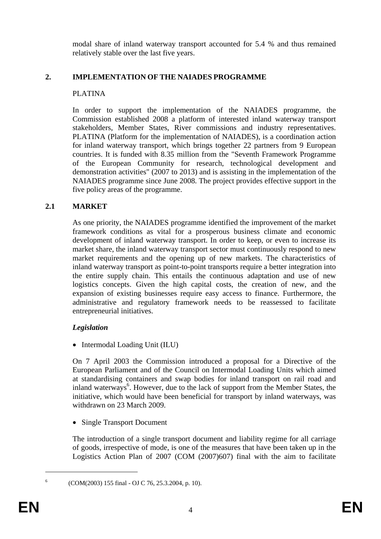modal share of inland waterway transport accounted for 5.4 % and thus remained relatively stable over the last five years.

#### <span id="page-4-0"></span>**2. IMPLEMENTATION OF THE NAIADES PROGRAMME**

#### PLATINA

In order to support the implementation of the NAIADES programme, the Commission established 2008 a platform of interested inland waterway transport stakeholders, Member States, River commissions and industry representatives. PLATINA (Platform for the implementation of NAIADES), is a coordination action for inland waterway transport, which brings together 22 partners from 9 European countries. It is funded with 8.35 million from the "Seventh Framework Programme of the European Community for research, technological development and demonstration activities" (2007 to 2013) and is assisting in the implementation of the NAIADES programme since June 2008. The project provides effective support in the five policy areas of the programme.

#### <span id="page-4-1"></span>**2.1 MARKET**

As one priority, the NAIADES programme identified the improvement of the market framework conditions as vital for a prosperous business climate and economic development of inland waterway transport. In order to keep, or even to increase its market share, the inland waterway transport sector must continuously respond to new market requirements and the opening up of new markets. The characteristics of inland waterway transport as point-to-point transports require a better integration into the entire supply chain. This entails the continuous adaptation and use of new logistics concepts. Given the high capital costs, the creation of new, and the expansion of existing businesses require easy access to finance. Furthermore, the administrative and regulatory framework needs to be reassessed to facilitate entrepreneurial initiatives.

#### *Legislation*

• Intermodal Loading Unit (ILU)

On 7 April 2003 the Commission introduced a proposal for a Directive of the European Parliament and of the Council on Intermodal Loading Units which aimed at standardising containers and swap bodies for inland transport on rail road and inland waterways<sup>6</sup>. However, due to the lack of support from the Member States, the initiative, which would have been beneficial for transport by inland waterways, was withdrawn on 23 March 2009.

• Single Transport Document

The introduction of a single transport document and liability regime for all carriage of goods, irrespective of mode, is one of the measures that have been taken up in the Logistics Action Plan of 2007 (COM (2007)607) final with the aim to facilitate

(COM(2003) 155 final - OJ C 76, 25.3.2004, p. 10).

1 6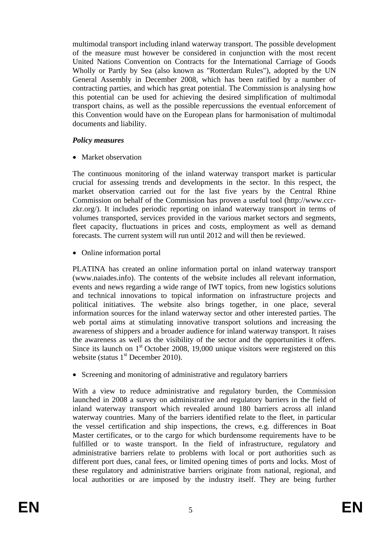multimodal transport including inland waterway transport. The possible development of the measure must however be considered in conjunction with the most recent United Nations Convention on Contracts for the International Carriage of Goods Wholly or Partly by Sea (also known as "Rotterdam Rules"), adopted by the UN General Assembly in December 2008, which has been ratified by a number of contracting parties, and which has great potential. The Commission is analysing how this potential can be used for achieving the desired simplification of multimodal transport chains, as well as the possible repercussions the eventual enforcement of this Convention would have on the European plans for harmonisation of multimodal documents and liability.

#### *Policy measures*

• Market observation

The continuous monitoring of the inland waterway transport market is particular crucial for assessing trends and developments in the sector. In this respect, the market observation carried out for the last five years by the Central Rhine Commission on behalf of the Commission has proven a useful tool (http://www.ccrzkr.org/). It includes periodic reporting on inland waterway transport in terms of volumes transported, services provided in the various market sectors and segments, fleet capacity, fluctuations in prices and costs, employment as well as demand forecasts. The current system will run until 2012 and will then be reviewed.

• Online information portal

PLATINA has created an online information portal on inland waterway transport (www.naiades.info). The contents of the website includes all relevant information, events and news regarding a wide range of IWT topics, from new logistics solutions and technical innovations to topical information on infrastructure projects and political initiatives. The website also brings together, in one place, several information sources for the inland waterway sector and other interested parties. The web portal aims at stimulating innovative transport solutions and increasing the awareness of shippers and a broader audience for inland waterway transport. It raises the awareness as well as the visibility of the sector and the opportunities it offers. Since its launch on 1<sup>st</sup> October 2008, 19,000 unique visitors were registered on this website (status  $1<sup>st</sup>$  December 2010).

• Screening and monitoring of administrative and regulatory barriers

With a view to reduce administrative and regulatory burden, the Commission launched in 2008 a survey on administrative and regulatory barriers in the field of inland waterway transport which revealed around 180 barriers across all inland waterway countries. Many of the barriers identified relate to the fleet, in particular the vessel certification and ship inspections, the crews, e.g. differences in Boat Master certificates, or to the cargo for which burdensome requirements have to be fulfilled or to waste transport. In the field of infrastructure, regulatory and administrative barriers relate to problems with local or port authorities such as different port dues, canal fees, or limited opening times of ports and locks. Most of these regulatory and administrative barriers originate from national, regional, and local authorities or are imposed by the industry itself. They are being further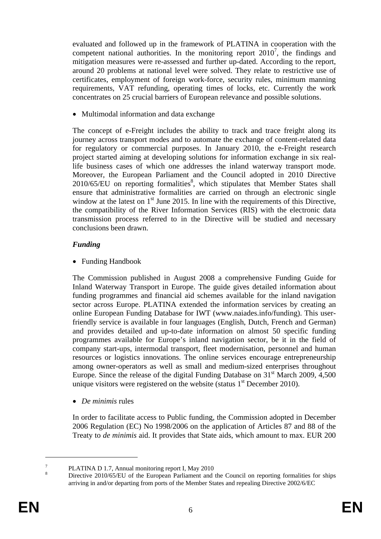evaluated and followed up in the framework of PLATINA in cooperation with the competent national authorities. In the monitoring report  $2010^7$ , the findings and mitigation measures were re-assessed and further up-dated. According to the report, around 20 problems at national level were solved. They relate to restrictive use of certificates, employment of foreign work-force, security rules, minimum manning requirements, VAT refunding, operating times of locks, etc. Currently the work concentrates on 25 crucial barriers of European relevance and possible solutions.

• Multimodal information and data exchange

The concept of e-Freight includes the ability to track and trace freight along its journey across transport modes and to automate the exchange of content-related data for regulatory or commercial purposes. In January 2010, the e-Freight research project started aiming at developing solutions for information exchange in six reallife business cases of which one addresses the inland waterway transport mode. Moreover, the European Parliament and the Council adopted in 2010 Directive  $2010/65/EU$  on reporting formalities<sup>8</sup>, which stipulates that Member States shall ensure that administrative formalities are carried on through an electronic single window at the latest on  $1<sup>st</sup>$  June 2015. In line with the requirements of this Directive, the compatibility of the River Information Services (RIS) with the electronic data transmission process referred to in the Directive will be studied and necessary conclusions been drawn.

#### *Funding*

• Funding Handbook

The Commission published in August 2008 a comprehensive Funding Guide for Inland Waterway Transport in Europe. The guide gives detailed information about funding programmes and financial aid schemes available for the inland navigation sector across Europe. PLATINA extended the information services by creating an online European Funding Database for IWT (www.naiades.info/funding). This userfriendly service is available in four languages (English, Dutch, French and German) and provides detailed and up-to-date information on almost 50 specific funding programmes available for Europe's inland navigation sector, be it in the field of company start-ups, intermodal transport, fleet modernisation, personnel and human resources or logistics innovations. The online services encourage entrepreneurship among owner-operators as well as small and medium-sized enterprises throughout Europe. Since the release of the digital Funding Database on 31<sup>st</sup> March 2009, 4,500 unique visitors were registered on the website (status  $1<sup>st</sup>$  December 2010).

• *De minimis* rules

In order to facilitate access to Public funding, the Commission adopted in December 2006 Regulation (EC) No 1998/2006 on the application of Articles 87 and 88 of the Treaty to *de minimis* aid. It provides that State aids, which amount to max. EUR 200

<u>.</u>

<sup>7</sup> PLATINA D 1.7, Annual monitoring report I, May 2010

<sup>8</sup> Directive 2010/65/EU of the European Parliament and the Council on reporting formalities for ships arriving in and/or departing from ports of the Member States and repealing Directive 2002/6/EC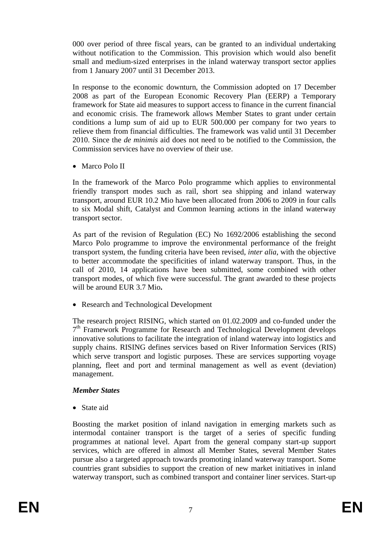000 over period of three fiscal years, can be granted to an individual undertaking without notification to the Commission. This provision which would also benefit small and medium-sized enterprises in the inland waterway transport sector applies from 1 January 2007 until 31 December 2013.

In response to the economic downturn, the Commission adopted on 17 December 2008 as part of the European Economic Recovery Plan (EERP) a Temporary framework for State aid measures to support access to finance in the current financial and economic crisis. The framework allows Member States to grant under certain conditions a lump sum of aid up to EUR 500.000 per company for two years to relieve them from financial difficulties. The framework was valid until 31 December 2010. Since the *de minimis* aid does not need to be notified to the Commission, the Commission services have no overview of their use.

• Marco Polo II

In the framework of the Marco Polo programme which applies to environmental friendly transport modes such as rail, short sea shipping and inland waterway transport, around EUR 10.2 Mio have been allocated from 2006 to 2009 in four calls to six Modal shift, Catalyst and Common learning actions in the inland waterway transport sector.

As part of the revision of Regulation (EC) No 1692/2006 establishing the second Marco Polo programme to improve the environmental performance of the freight transport system, the funding criteria have been revised, *inter alia*, with the objective to better accommodate the specificities of inland waterway transport. Thus, in the call of 2010, 14 applications have been submitted, some combined with other transport modes, of which five were successful. The grant awarded to these projects will be around EUR 3.7 Mio**.** 

• Research and Technological Development

The research project RISING, which started on 01.02.2009 and co-funded under the  $7<sup>th</sup>$  Framework Programme for Research and Technological Development develops innovative solutions to facilitate the integration of inland waterway into logistics and supply chains. RISING defines services based on River Information Services (RIS) which serve transport and logistic purposes. These are services supporting voyage planning, fleet and port and terminal management as well as event (deviation) management.

#### *Member States*

• State aid

Boosting the market position of inland navigation in emerging markets such as intermodal container transport is the target of a series of specific funding programmes at national level. Apart from the general company start-up support services, which are offered in almost all Member States, several Member States pursue also a targeted approach towards promoting inland waterway transport. Some countries grant subsidies to support the creation of new market initiatives in inland waterway transport, such as combined transport and container liner services. Start-up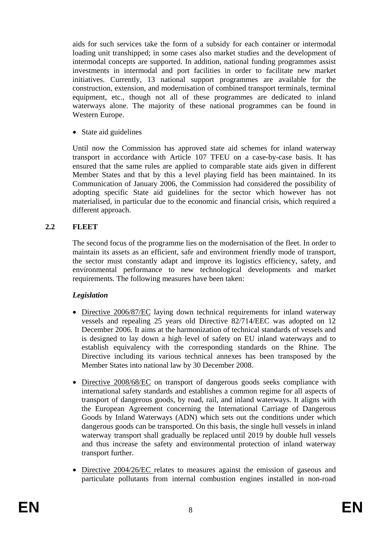aids for such services take the form of a subsidy for each container or intermodal loading unit transhipped; in some cases also market studies and the development of intermodal concepts are supported. In addition, national funding programmes assist investments in intermodal and port facilities in order to facilitate new market initiatives. Currently, 13 national support programmes are available for the construction, extension, and modernisation of combined transport terminals, terminal equipment, etc., though not all of these programmes are dedicated to inland waterways alone. The majority of these national programmes can be found in Western Europe.

• State aid guidelines

Until now the Commission has approved state aid schemes for inland waterway transport in accordance with Article 107 TFEU on a case-by-case basis. It has ensured that the same rules are applied to comparable state aids given in different Member States and that by this a level playing field has been maintained. In its Communication of January 2006, the Commission had considered the possibility of adopting specific State aid guidelines for the sector which however has not materialised, in particular due to the economic and financial crisis, which required a different approach.

#### <span id="page-8-0"></span>**2.2 FLEET**

The second focus of the programme lies on the modernisation of the fleet. In order to maintain its assets as an efficient, safe and environment friendly mode of transport, the sector must constantly adapt and improve its logistics efficiency, safety, and environmental performance to new technological developments and market requirements. The following measures have been taken:

#### *Legislation*

- Directive 2006/87/EC laying down technical requirements for inland waterway vessels and repealing 25 years old Directive 82/714/EEC was adopted on 12 December 2006. It aims at the harmonization of technical standards of vessels and is designed to lay down a high level of safety on EU inland waterways and to establish equivalency with the corresponding standards on the Rhine. The Directive including its various technical annexes has been transposed by the Member States into national law by 30 December 2008.
- Directive 2008/68/EC on transport of dangerous goods seeks compliance with international safety standards and establishes a common regime for all aspects of transport of dangerous goods, by road, rail, and inland waterways. It aligns with the European Agreement concerning the International Carriage of Dangerous Goods by Inland Waterways (ADN) which sets out the conditions under which dangerous goods can be transported. On this basis, the single hull vessels in inland waterway transport shall gradually be replaced until 2019 by double hull vessels and thus increase the safety and environmental protection of inland waterway transport further.
- Directive 2004/26/EC relates to measures against the emission of gaseous and particulate pollutants from internal combustion engines installed in non-road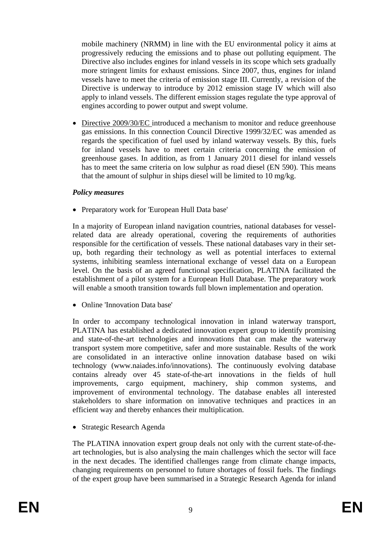mobile machinery (NRMM) in line with the EU environmental policy it aims at progressively reducing the emissions and to phase out polluting equipment. The Directive also includes engines for inland vessels in its scope which sets gradually more stringent limits for exhaust emissions. Since 2007, thus, engines for inland vessels have to meet the criteria of emission stage III. Currently, a revision of the Directive is underway to introduce by 2012 emission stage IV which will also apply to inland vessels. The different emission stages regulate the type approval of engines according to power output and swept volume.

• Directive 2009/30/EC introduced a mechanism to monitor and reduce greenhouse gas emissions. In this connection Council Directive 1999/32/EC was amended as regards the specification of fuel used by inland waterway vessels. By this, fuels for inland vessels have to meet certain criteria concerning the emission of greenhouse gases. In addition, as from 1 January 2011 diesel for inland vessels has to meet the same criteria on low sulphur as road diesel (EN 590). This means that the amount of sulphur in ships diesel will be limited to 10 mg/kg.

#### *Policy measures*

• Preparatory work for 'European Hull Data base'

In a majority of European inland navigation countries, national databases for vesselrelated data are already operational*,* covering the requirements of authorities responsible for the certification of vessels. These national databases vary in their setup, both regarding their technology as well as potential interfaces to external systems, inhibiting seamless international exchange of vessel data on a European level. On the basis of an agreed functional specification, PLATINA facilitated the establishment of a pilot system for a European Hull Database. The preparatory work will enable a smooth transition towards full blown implementation and operation.

• Online 'Innovation Data base'

In order to accompany technological innovation in inland waterway transport, PLATINA has established a dedicated innovation expert group to identify promising and state-of-the-art technologies and innovations that can make the waterway transport system more competitive, safer and more sustainable. Results of the work are consolidated in an interactive online innovation database based on wiki technology (www.naiades.info/innovations). The continuously evolving database contains already over 45 state-of-the-art innovations in the fields of hull improvements, cargo equipment, machinery, ship common systems, and improvement of environmental technology. The database enables all interested stakeholders to share information on innovative techniques and practices in an efficient way and thereby enhances their multiplication.

• Strategic Research Agenda

The PLATINA innovation expert group deals not only with the current state-of-theart technologies, but is also analysing the main challenges which the sector will face in the next decades. The identified challenges range from climate change impacts, changing requirements on personnel to future shortages of fossil fuels. The findings of the expert group have been summarised in a Strategic Research Agenda for inland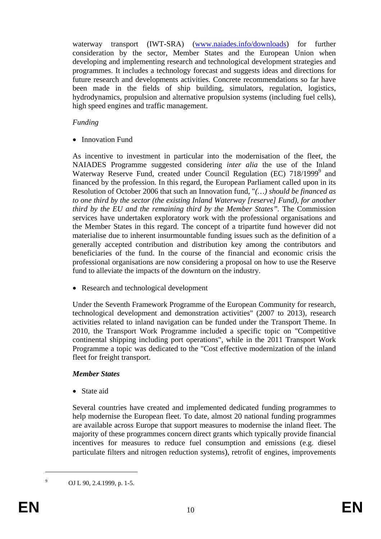waterway transport (IWT-SRA) [\(www.naiades.info/downloads\)](http://www.naiades.info/downloads) for further consideration by the sector, Member States and the European Union when developing and implementing research and technological development strategies and programmes. It includes a technology forecast and suggests ideas and directions for future research and developments activities. Concrete recommendations so far have been made in the fields of ship building, simulators, regulation, logistics, hydrodynamics, propulsion and alternative propulsion systems (including fuel cells), high speed engines and traffic management.

#### *Funding*

• Innovation Fund

As incentive to investment in particular into the modernisation of the fleet, the NAIADES Programme suggested considering *inter alia* the use of the Inland Waterway Reserve Fund, created under Council Regulation (EC) 718/1999<sup>9</sup> and financed by the profession. In this regard, the European Parliament called upon in its Resolution of October 2006 that such an Innovation fund, "*(…) should be financed as to one third by the sector (the existing Inland Waterway [reserve] Fund), for another third by the EU and the remaining third by the Member States".* The Commission services have undertaken exploratory work with the professional organisations and the Member States in this regard. The concept of a tripartite fund however did not materialise due to inherent insurmountable funding issues such as the definition of a generally accepted contribution and distribution key among the contributors and beneficiaries of the fund. In the course of the financial and economic crisis the professional organisations are now considering a proposal on how to use the Reserve fund to alleviate the impacts of the downturn on the industry.

• Research and technological development

Under the Seventh Framework Programme of the European Community for research, technological development and demonstration activities" (2007 to 2013), research activities related to inland navigation can be funded under the Transport Theme. In 2010, the Transport Work Programme included a specific topic on "Competitive continental shipping including port operations", while in the 2011 Transport Work Programme a topic was dedicated to the "Cost effective modernization of the inland fleet for freight transport.

#### *Member States*

• State aid

Several countries have created and implemented dedicated funding programmes to help modernise the European fleet. To date, almost 20 national funding programmes are available across Europe that support measures to modernise the inland fleet. The majority of these programmes concern direct grants which typically provide financial incentives for measures to reduce fuel consumption and emissions (e.g. diesel particulate filters and nitrogen reduction systems), retrofit of engines, improvements

OJ L 90, 2.4.1999, p. 1-5.

1 9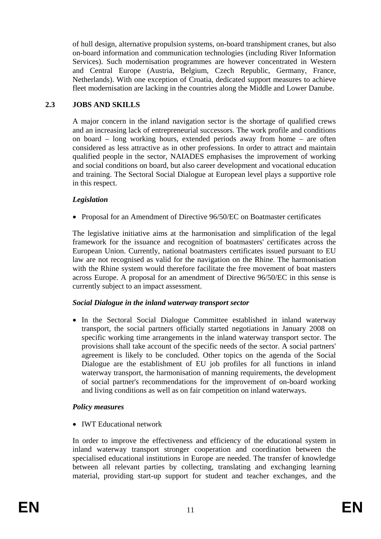of hull design, alternative propulsion systems, on-board transhipment cranes, but also on-board information and communication technologies (including River Information Services). Such modernisation programmes are however concentrated in Western and Central Europe (Austria, Belgium, Czech Republic, Germany, France, Netherlands). With one exception of Croatia, dedicated support measures to achieve fleet modernisation are lacking in the countries along the Middle and Lower Danube.

#### <span id="page-11-0"></span>**2.3 JOBS AND SKILLS**

A major concern in the inland navigation sector is the shortage of qualified crews and an increasing lack of entrepreneurial successors. The work profile and conditions on board – long working hours, extended periods away from home – are often considered as less attractive as in other professions. In order to attract and maintain qualified people in the sector, NAIADES emphasises the improvement of working and social conditions on board, but also career development and vocational education and training. The Sectoral Social Dialogue at European level plays a supportive role in this respect.

### *Legislation*

• Proposal for an Amendment of Directive 96/50/EC on Boatmaster certificates

The legislative initiative aims at the harmonisation and simplification of the legal framework for the issuance and recognition of boatmasters' certificates across the European Union. Currently, national boatmasters certificates issued pursuant to EU law are not recognised as valid for the navigation on the Rhine. The harmonisation with the Rhine system would therefore facilitate the free movement of boat masters across Europe. A proposal for an amendment of Directive 96/50/EC in this sense is currently subject to an impact assessment.

#### *Social Dialogue in the inland waterway transport sector*

• In the Sectoral Social Dialogue Committee established in inland waterway transport, the social partners officially started negotiations in January 2008 on specific working time arrangements in the inland waterway transport sector. The provisions shall take account of the specific needs of the sector. A social partners' agreement is likely to be concluded. Other topics on the agenda of the Social Dialogue are the establishment of EU job profiles for all functions in inland waterway transport, the harmonisation of manning requirements, the development of social partner's recommendations for the improvement of on-board working and living conditions as well as on fair competition on inland waterways.

#### *Policy measures*

• **IWT Educational network** 

In order to improve the effectiveness and efficiency of the educational system in inland waterway transport stronger cooperation and coordination between the specialised educational institutions in Europe are needed. The transfer of knowledge between all relevant parties by collecting, translating and exchanging learning material, providing start-up support for student and teacher exchanges, and the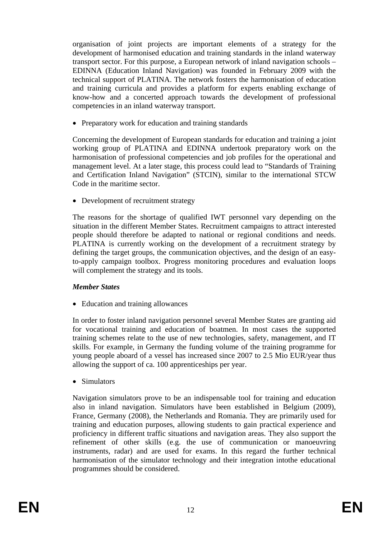organisation of joint projects are important elements of a strategy for the development of harmonised education and training standards in the inland waterway transport sector. For this purpose, a European network of inland navigation schools – EDINNA (Education Inland Navigation) was founded in February 2009 with the technical support of PLATINA. The network fosters the harmonisation of education and training curricula and provides a platform for experts enabling exchange of know-how and a concerted approach towards the development of professional competencies in an inland waterway transport.

• Preparatory work for education and training standards

Concerning the development of European standards for education and training a joint working group of PLATINA and EDINNA undertook preparatory work on the harmonisation of professional competencies and job profiles for the operational and management level. At a later stage, this process could lead to "Standards of Training and Certification Inland Navigation" (STCIN), similar to the international STCW Code in the maritime sector.

• Development of recruitment strategy

The reasons for the shortage of qualified IWT personnel vary depending on the situation in the different Member States. Recruitment campaigns to attract interested people should therefore be adapted to national or regional conditions and needs. PLATINA is currently working on the development of a recruitment strategy by defining the target groups, the communication objectives, and the design of an easyto-apply campaign toolbox. Progress monitoring procedures and evaluation loops will complement the strategy and its tools.

#### *Member States*

• Education and training allowances

In order to foster inland navigation personnel several Member States are granting aid for vocational training and education of boatmen. In most cases the supported training schemes relate to the use of new technologies, safety, management, and IT skills. For example, in Germany the funding volume of the training programme for young people aboard of a vessel has increased since 2007 to 2.5 Mio EUR/year thus allowing the support of ca. 100 apprenticeships per year.

• Simulators

Navigation simulators prove to be an indispensable tool for training and education also in inland navigation. Simulators have been established in Belgium (2009), France, Germany (2008), the Netherlands and Romania. They are primarily used for training and education purposes, allowing students to gain practical experience and proficiency in different traffic situations and navigation areas. They also support the refinement of other skills (e.g. the use of communication or manoeuvring instruments, radar) and are used for exams. In this regard the further technical harmonisation of the simulator technology and their integration intothe educational programmes should be considered.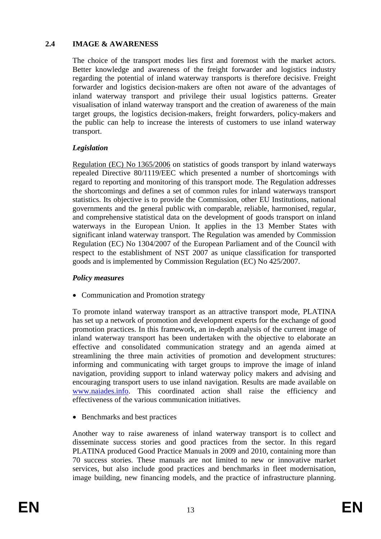#### <span id="page-13-0"></span>**2.4 IMAGE & AWARENESS**

The choice of the transport modes lies first and foremost with the market actors. Better knowledge and awareness of the freight forwarder and logistics industry regarding the potential of inland waterway transports is therefore decisive. Freight forwarder and logistics decision-makers are often not aware of the advantages of inland waterway transport and privilege their usual logistics patterns. Greater visualisation of inland waterway transport and the creation of awareness of the main target groups, the logistics decision-makers, freight forwarders, policy-makers and the public can help to increase the interests of customers to use inland waterway transport.

#### *Legislation*

Regulation (EC) No 1365/2006 on statistics of goods transport by inland waterways repealed Directive 80/1119/EEC which presented a number of shortcomings with regard to reporting and monitoring of this transport mode. The Regulation addresses the shortcomings and defines a set of common rules for inland waterways transport statistics. Its objective is to provide the Commission, other EU Institutions, national governments and the general public with comparable, reliable, harmonised, regular, and comprehensive statistical data on the development of goods transport on inland waterways in the European Union. It applies in the 13 Member States with significant inland waterway transport. The Regulation was amended by Commission Regulation (EC) No 1304/2007 of the European Parliament and of the Council with respect to the establishment of NST 2007 as unique classification for transported goods and is implemented by Commission Regulation (EC) No 425/2007.

#### *Policy measures*

• Communication and Promotion strategy

To promote inland waterway transport as an attractive transport mode, PLATINA has set up a network of promotion and development experts for the exchange of good promotion practices. In this framework, an in-depth analysis of the current image of inland waterway transport has been undertaken with the objective to elaborate an effective and consolidated communication strategy and an agenda aimed at streamlining the three main activities of promotion and development structures: informing and communicating with target groups to improve the image of inland navigation, providing support to inland waterway policy makers and advising and encouraging transport users to use inland navigation. Results are made available on [www.naiades.info.](http://www.naiaides.info/) This coordinated action shall raise the efficiency and effectiveness of the various communication initiatives.

• Benchmarks and best practices

Another way to raise awareness of inland waterway transport is to collect and disseminate success stories and good practices from the sector. In this regard PLATINA produced Good Practice Manuals in 2009 and 2010, containing more than 70 success stories. These manuals are not limited to new or innovative market services, but also include good practices and benchmarks in fleet modernisation, image building, new financing models, and the practice of infrastructure planning.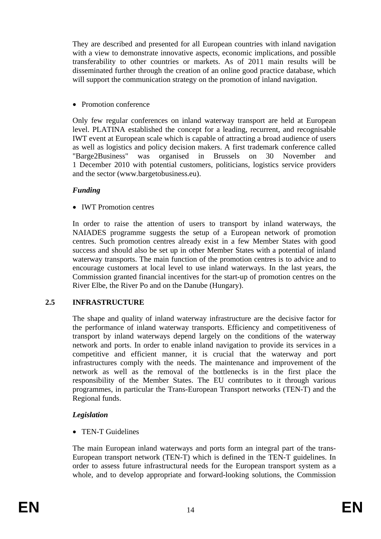They are described and presented for all European countries with inland navigation with a view to demonstrate innovative aspects, economic implications, and possible transferability to other countries or markets. As of 2011 main results will be disseminated further through the creation of an online good practice database, which will support the communication strategy on the promotion of inland navigation.

• Promotion conference

Only few regular conferences on inland waterway transport are held at European level. PLATINA established the concept for a leading, recurrent, and recognisable IWT event at European scale which is capable of attracting a broad audience of users as well as logistics and policy decision makers. A first trademark conference called "Barge2Business" was organised in Brussels on 30 November and 1 December 2010 with potential customers, politicians, logistics service providers and the sector [\(www.bargetobusiness.eu\)](http://www.bargetobusiness.eu/).

### *Funding*

• **IWT** Promotion centres

In order to raise the attention of users to transport by inland waterways, the NAIADES programme suggests the setup of a European network of promotion centres. Such promotion centres already exist in a few Member States with good success and should also be set up in other Member States with a potential of inland waterway transports. The main function of the promotion centres is to advice and to encourage customers at local level to use inland waterways. In the last years, the Commission granted financial incentives for the start-up of promotion centres on the River Elbe, the River Po and on the Danube (Hungary).

#### <span id="page-14-0"></span>**2.5 INFRASTRUCTURE**

The shape and quality of inland waterway infrastructure are the decisive factor for the performance of inland waterway transports. Efficiency and competitiveness of transport by inland waterways depend largely on the conditions of the waterway network and ports. In order to enable inland navigation to provide its services in a competitive and efficient manner, it is crucial that the waterway and port infrastructures comply with the needs. The maintenance and improvement of the network as well as the removal of the bottlenecks is in the first place the responsibility of the Member States. The EU contributes to it through various programmes, in particular the Trans-European Transport networks (TEN-T) and the Regional funds.

# *Legislation*

• TEN-T Guidelines

The main European inland waterways and ports form an integral part of the trans-European transport network (TEN-T) which is defined in the TEN-T guidelines. In order to assess future infrastructural needs for the European transport system as a whole, and to develop appropriate and forward-looking solutions, the Commission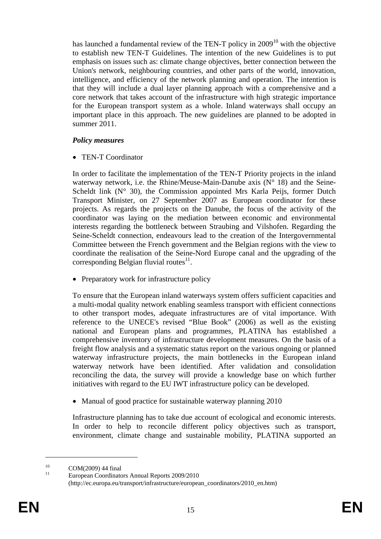has launched a fundamental review of the TEN-T policy in  $2009<sup>10</sup>$  with the objective to establish new TEN-T Guidelines. The intention of the new Guidelines is to put emphasis on issues such as: climate change objectives, better connection between the Union's network, neighbouring countries, and other parts of the world, innovation, intelligence, and efficiency of the network planning and operation. The intention is that they will include a dual layer planning approach with a comprehensive and a core network that takes account of the infrastructure with high strategic importance for the European transport system as a whole. Inland waterways shall occupy an important place in this approach. The new guidelines are planned to be adopted in summer 2011.

#### *Policy measures*

• TEN-T Coordinator

In order to facilitate the implementation of the TEN-T Priority projects in the inland waterway network, i.e. the Rhine/Meuse-Main-Danube axis  $(N^{\circ} 18)$  and the Seine-Scheldt link  $(N^{\circ} 30)$ , the Commission appointed Mrs Karla Peijs, former Dutch Transport Minister, on 27 September 2007 as European coordinator for these projects. As regards the projects on the Danube, the focus of the activity of the coordinator was laying on the mediation between economic and environmental interests regarding the bottleneck between Straubing and Vilshofen. Regarding the Seine-Scheldt connection, endeavours lead to the creation of the Intergovernmental Committee between the French government and the Belgian regions with the view to coordinate the realisation of the Seine-Nord Europe canal and the upgrading of the corresponding Belgian fluvial routes $^{11}$ .

• Preparatory work for infrastructure policy

To ensure that the European inland waterways system offers sufficient capacities and a multi-modal quality network enabling seamless transport with efficient connections to other transport modes, adequate infrastructures are of vital importance. With reference to the UNECE's revised "Blue Book" (2006) as well as the existing national and European plans and programmes, PLATINA has established a comprehensive inventory of infrastructure development measures. On the basis of a freight flow analysis and a systematic status report on the various ongoing or planned waterway infrastructure projects, the main bottlenecks in the European inland waterway network have been identified. After validation and consolidation reconciling the data, the survey will provide a knowledge base on which further initiatives with regard to the EU IWT infrastructure policy can be developed.

• Manual of good practice for sustainable waterway planning 2010

Infrastructure planning has to take due account of ecological and economic interests. In order to help to reconcile different policy objectives such as transport, environment, climate change and sustainable mobility, PLATINA supported an

<u>.</u>

 $10$  COM(2009) 44 final

European Coordinators Annual Reports 2009/2010 (http://ec.europa.eu/transport/infrastructure/european\_coordinators/2010\_en.htm)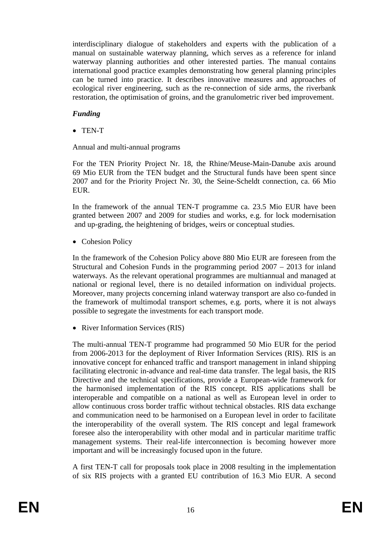interdisciplinary dialogue of stakeholders and experts with the publication of a manual on sustainable waterway planning, which serves as a reference for inland waterway planning authorities and other interested parties. The manual contains international good practice examples demonstrating how general planning principles can be turned into practice. It describes innovative measures and approaches of ecological river engineering, such as the re-connection of side arms, the riverbank restoration, the optimisation of groins, and the granulometric river bed improvement.

### *Funding*

• TEN-T

Annual and multi-annual programs

For the TEN Priority Project Nr. 18, the Rhine/Meuse-Main-Danube axis around 69 Mio EUR from the TEN budget and the Structural funds have been spent since 2007 and for the Priority Project Nr. 30, the Seine-Scheldt connection, ca. 66 Mio EUR.

In the framework of the annual TEN-T programme ca. 23.5 Mio EUR have been granted between 2007 and 2009 for studies and works, e.g. for lock modernisation and up-grading, the heightening of bridges, weirs or conceptual studies.

• Cohesion Policy

In the framework of the Cohesion Policy above 880 Mio EUR are foreseen from the Structural and Cohesion Funds in the programming period 2007 – 2013 for inland waterways. As the relevant operational programmes are multiannual and managed at national or regional level, there is no detailed information on individual projects. Moreover, many projects concerning inland waterway transport are also co-funded in the framework of multimodal transport schemes, e.g. ports, where it is not always possible to segregate the investments for each transport mode.

• River Information Services (RIS)

The multi-annual TEN-T programme had programmed 50 Mio EUR for the period from 2006-2013 for the deployment of River Information Services (RIS). RIS is an innovative concept for enhanced traffic and transport management in inland shipping facilitating electronic in-advance and real-time data transfer. The legal basis, the RIS Directive and the technical specifications, provide a European-wide framework for the harmonised implementation of the RIS concept. RIS applications shall be interoperable and compatible on a national as well as European level in order to allow continuous cross border traffic without technical obstacles. RIS data exchange and communication need to be harmonised on a European level in order to facilitate the interoperability of the overall system. The RIS concept and legal framework foresee also the interoperability with other modal and in particular maritime traffic management systems. Their real-life interconnection is becoming however more important and will be increasingly focused upon in the future.

A first TEN-T call for proposals took place in 2008 resulting in the implementation of six RIS projects with a granted EU contribution of 16.3 Mio EUR. A second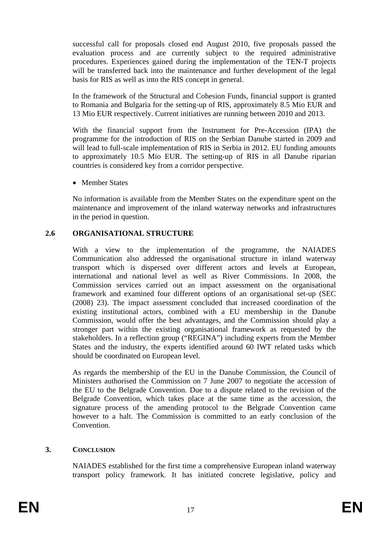successful call for proposals closed end August 2010, five proposals passed the evaluation process and are currently subject to the required administrative procedures. Experiences gained during the implementation of the TEN-T projects will be transferred back into the maintenance and further development of the legal basis for RIS as well as into the RIS concept in general.

In the framework of the Structural and Cohesion Funds, financial support is granted to Romania and Bulgaria for the setting-up of RIS, approximately 8.5 Mio EUR and 13 Mio EUR respectively. Current initiatives are running between 2010 and 2013.

With the financial support from the Instrument for Pre-Accession (IPA) the programme for the introduction of RIS on the Serbian Danube started in 2009 and will lead to full-scale implementation of RIS in Serbia in 2012. EU funding amounts to approximately 10.5 Mio EUR. The setting-up of RIS in all Danube riparian countries is considered key from a corridor perspective.

• Member States

No information is available from the Member States on the expenditure spent on the maintenance and improvement of the inland waterway networks and infrastructures in the period in question.

#### <span id="page-17-0"></span>**2.6 ORGANISATIONAL STRUCTURE**

With a view to the implementation of the programme, the NAIADES Communication also addressed the organisational structure in inland waterway transport which is dispersed over different actors and levels at European, international and national level as well as River Commissions. In 2008, the Commission services carried out an impact assessment on the organisational framework and examined four different options of an organisational set-up (SEC (2008) 23). The impact assessment concluded that increased coordination of the existing institutional actors, combined with a EU membership in the Danube Commission, would offer the best advantages, and the Commission should play a stronger part within the existing organisational framework as requested by the stakeholders. In a reflection group ("REGINA") including experts from the Member States and the industry, the experts identified around 60 IWT related tasks which should be coordinated on European level.

As regards the membership of the EU in the Danube Commission, the Council of Ministers authorised the Commission on 7 June 2007 to negotiate the accession of the EU to the Belgrade Convention. Due to a dispute related to the revision of the Belgrade Convention, which takes place at the same time as the accession, the signature process of the amending protocol to the Belgrade Convention came however to a halt. The Commission is committed to an early conclusion of the **Convention** 

#### <span id="page-17-1"></span>**3. CONCLUSION**

NAIADES established for the first time a comprehensive European inland waterway transport policy framework. It has initiated concrete legislative, policy and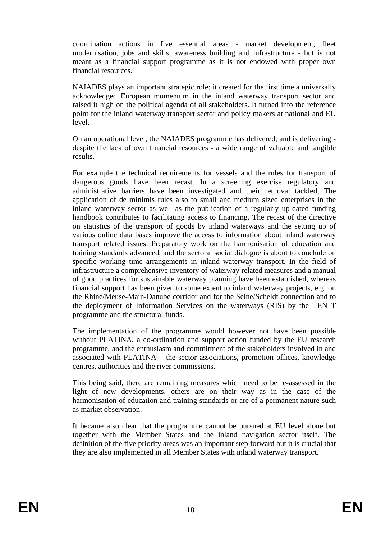coordination actions in five essential areas - market development, fleet modernisation, jobs and skills, awareness building and infrastructure - but is not meant as a financial support programme as it is not endowed with proper own financial resources.

NAIADES plays an important strategic role: it created for the first time a universally acknowledged European momentum in the inland waterway transport sector and raised it high on the political agenda of all stakeholders. It turned into the reference point for the inland waterway transport sector and policy makers at national and EU level.

On an operational level, the NAIADES programme has delivered, and is delivering despite the lack of own financial resources - a wide range of valuable and tangible results.

For example the technical requirements for vessels and the rules for transport of dangerous goods have been recast. In a screening exercise regulatory and administrative barriers have been investigated and their removal tackled, The application of de minimis rules also to small and medium sized enterprises in the inland waterway sector as well as the publication of a regularly up-dated funding handbook contributes to facilitating access to financing. The recast of the directive on statistics of the transport of goods by inland waterways and the setting up of various online data bases improve the access to information about inland waterway transport related issues. Preparatory work on the harmonisation of education and training standards advanced, and the sectoral social dialogue is about to conclude on specific working time arrangements in inland waterway transport. In the field of infrastructure a comprehensive inventory of waterway related measures and a manual of good practices for sustainable waterway planning have been established, whereas financial support has been given to some extent to inland waterway projects, e.g. on the Rhine/Meuse-Main-Danube corridor and for the Seine/Scheldt connection and to the deployment of Information Services on the waterways (RIS) by the TEN T programme and the structural funds.

The implementation of the programme would however not have been possible without PLATINA, a co-ordination and support action funded by the EU research programme, and the enthusiasm and commitment of the stakeholders involved in and associated with PLATINA – the sector associations, promotion offices, knowledge centres, authorities and the river commissions.

This being said, there are remaining measures which need to be re-assessed in the light of new developments, others are on their way as in the case of the harmonisation of education and training standards or are of a permanent nature such as market observation.

It became also clear that the programme cannot be pursued at EU level alone but together with the Member States and the inland navigation sector itself. The definition of the five priority areas was an important step forward but it is crucial that they are also implemented in all Member States with inland waterway transport.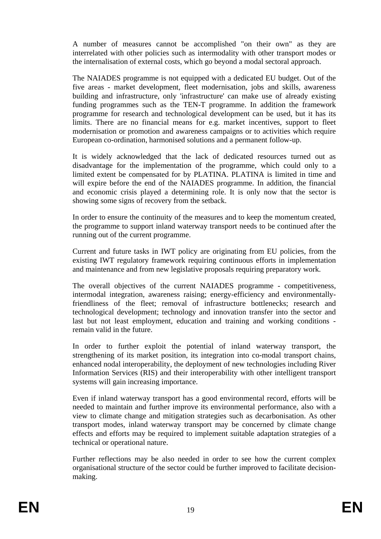A number of measures cannot be accomplished "on their own" as they are interrelated with other policies such as intermodality with other transport modes or the internalisation of external costs, which go beyond a modal sectoral approach.

The NAIADES programme is not equipped with a dedicated EU budget. Out of the five areas - market development, fleet modernisation, jobs and skills, awareness building and infrastructure, only 'infrastructure' can make use of already existing funding programmes such as the TEN-T programme. In addition the framework programme for research and technological development can be used, but it has its limits. There are no financial means for e.g. market incentives, support to fleet modernisation or promotion and awareness campaigns or to activities which require European co-ordination, harmonised solutions and a permanent follow-up.

It is widely acknowledged that the lack of dedicated resources turned out as disadvantage for the implementation of the programme, which could only to a limited extent be compensated for by PLATINA. PLATINA is limited in time and will expire before the end of the NAIADES programme. In addition, the financial and economic crisis played a determining role. It is only now that the sector is showing some signs of recovery from the setback.

In order to ensure the continuity of the measures and to keep the momentum created, the programme to support inland waterway transport needs to be continued after the running out of the current programme.

Current and future tasks in IWT policy are originating from EU policies, from the existing IWT regulatory framework requiring continuous efforts in implementation and maintenance and from new legislative proposals requiring preparatory work.

The overall objectives of the current NAIADES programme - competitiveness, intermodal integration, awareness raising; energy-efficiency and environmentallyfriendliness of the fleet; removal of infrastructure bottlenecks; research and technological development; technology and innovation transfer into the sector and last but not least employment, education and training and working conditions remain valid in the future.

In order to further exploit the potential of inland waterway transport, the strengthening of its market position, its integration into co-modal transport chains, enhanced nodal interoperability, the deployment of new technologies including River Information Services (RIS) and their interoperability with other intelligent transport systems will gain increasing importance.

Even if inland waterway transport has a good environmental record, efforts will be needed to maintain and further improve its environmental performance, also with a view to climate change and mitigation strategies such as decarbonisation. As other transport modes, inland waterway transport may be concerned by climate change effects and efforts may be required to implement suitable adaptation strategies of a technical or operational nature.

Further reflections may be also needed in order to see how the current complex organisational structure of the sector could be further improved to facilitate decisionmaking.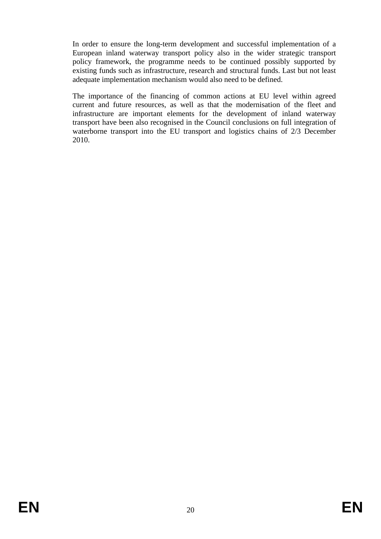In order to ensure the long-term development and successful implementation of a European inland waterway transport policy also in the wider strategic transport policy framework, the programme needs to be continued possibly supported by existing funds such as infrastructure, research and structural funds. Last but not least adequate implementation mechanism would also need to be defined.

The importance of the financing of common actions at EU level within agreed current and future resources, as well as that the modernisation of the fleet and infrastructure are important elements for the development of inland waterway transport have been also recognised in the Council conclusions on full integration of waterborne transport into the EU transport and logistics chains of 2/3 December 2010.